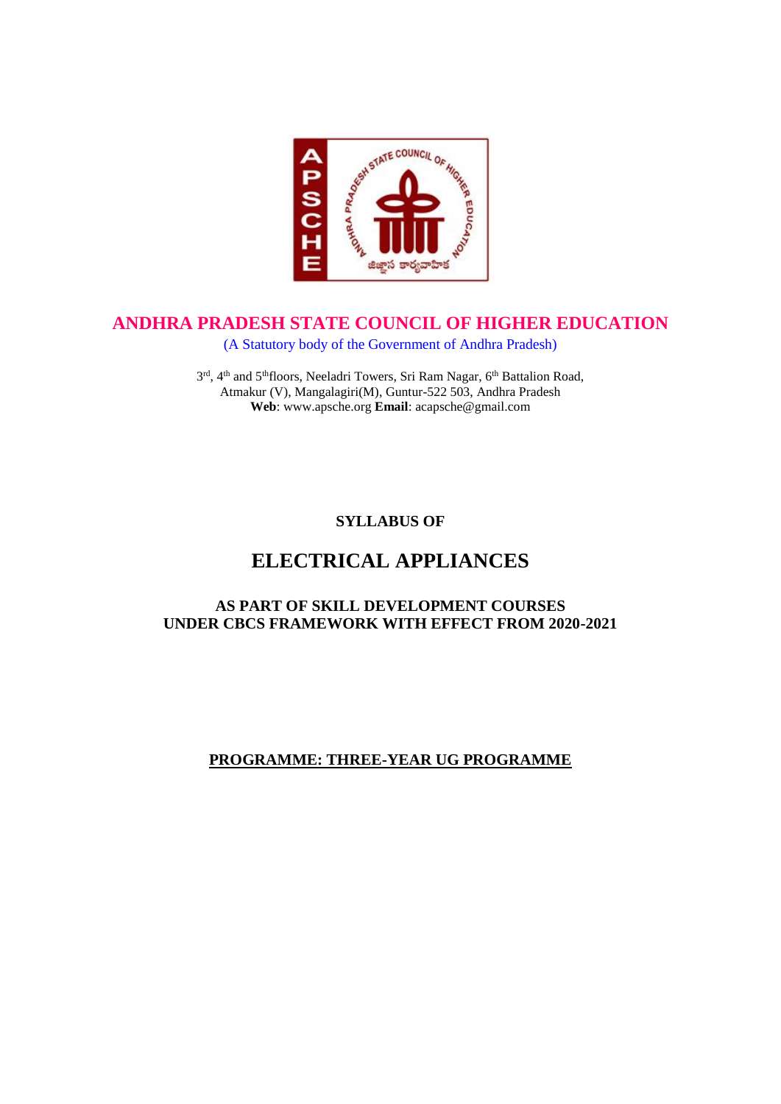

# **ANDHRA PRADESH STATE COUNCIL OF HIGHER EDUCATION**

(A Statutory body of the Government of Andhra Pradesh)

3<sup>rd</sup>, 4<sup>th</sup> and 5<sup>th</sup>floors, Neeladri Towers, Sri Ram Nagar, 6<sup>th</sup> Battalion Road, Atmakur (V), Mangalagiri(M), Guntur-522 503, Andhra Pradesh **Web**: www.apsche.org **Email**: acapsche@gmail.com

**SYLLABUS OF**

# **ELECTRICAL APPLIANCES**

# **AS PART OF SKILL DEVELOPMENT COURSES UNDER CBCS FRAMEWORK WITH EFFECT FROM 2020-2021**

# **PROGRAMME: THREE-YEAR UG PROGRAMME**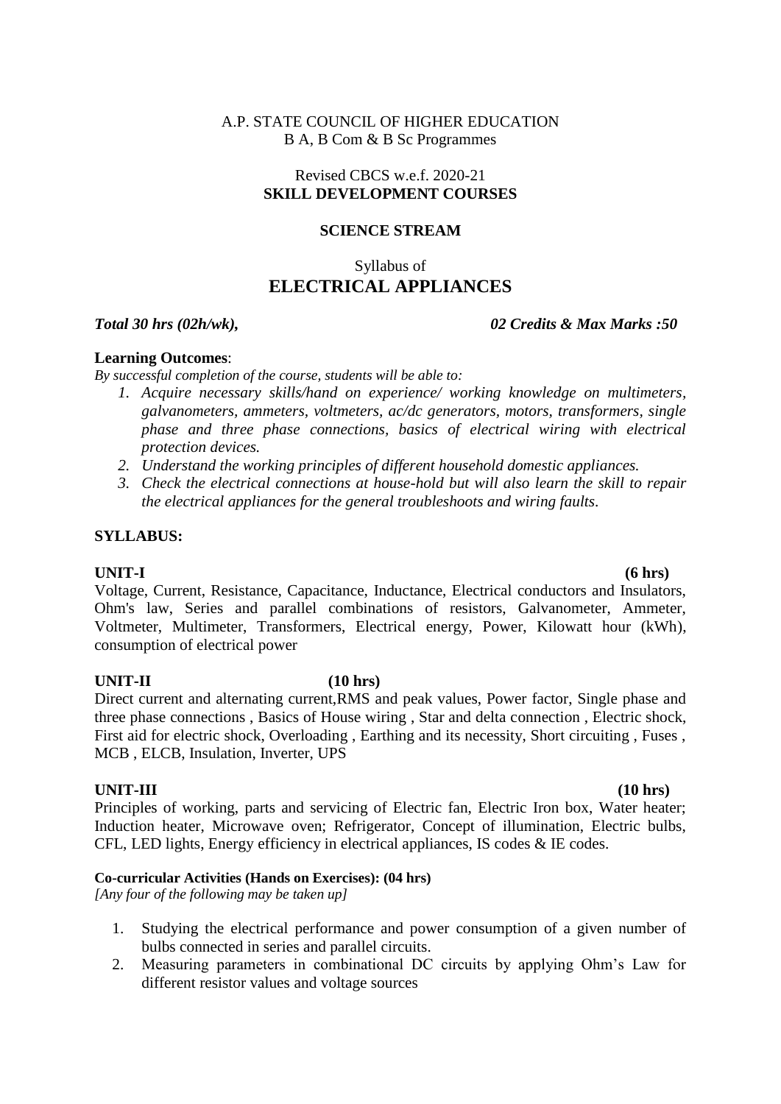### A.P. STATE COUNCIL OF HIGHER EDUCATION B A, B Com & B Sc Programmes

# Revised CBCS w.e.f. 2020-21 **SKILL DEVELOPMENT COURSES**

# **SCIENCE STREAM**

# Syllabus of **ELECTRICAL APPLIANCES**

### *Total 30 hrs (02h/wk), 02 Credits & Max Marks :50*

### **Learning Outcomes**:

*By successful completion of the course, students will be able to:* 

- *1. Acquire necessary skills/hand on experience/ working knowledge on multimeters, galvanometers, ammeters, voltmeters, ac/dc generators, motors, transformers, single phase and three phase connections, basics of electrical wiring with electrical protection devices.*
- *2. Understand the working principles of different household domestic appliances.*
- *3. Check the electrical connections at house-hold but will also learn the skill to repair the electrical appliances for the general troubleshoots and wiring faults.*

# **SYLLABUS:**

**UNIT-I (6 hrs)**  Voltage, Current, Resistance, Capacitance, Inductance, Electrical conductors and Insulators, Ohm's law, Series and parallel combinations of resistors, Galvanometer, Ammeter, Voltmeter, Multimeter, Transformers, Electrical energy, Power, Kilowatt hour (kWh), consumption of electrical power

### **UNIT-II (10 hrs)**

Direct current and alternating current,RMS and peak values, Power factor, Single phase and three phase connections , Basics of House wiring , Star and delta connection , Electric shock, First aid for electric shock, Overloading , Earthing and its necessity, Short circuiting , Fuses , MCB , ELCB, Insulation, Inverter, UPS

# **UNIT-III (10 hrs)**

Principles of working, parts and servicing of Electric fan, Electric Iron box, Water heater; Induction heater, Microwave oven; Refrigerator, Concept of illumination, Electric bulbs, CFL, LED lights, Energy efficiency in electrical appliances, IS codes & IE codes.

### **Co-curricular Activities (Hands on Exercises): (04 hrs)**

*[Any four of the following may be taken up]*

- 1. Studying the electrical performance and power consumption of a given number of bulbs connected in series and parallel circuits.
- 2. Measuring parameters in combinational DC circuits by applying Ohm's Law for different resistor values and voltage sources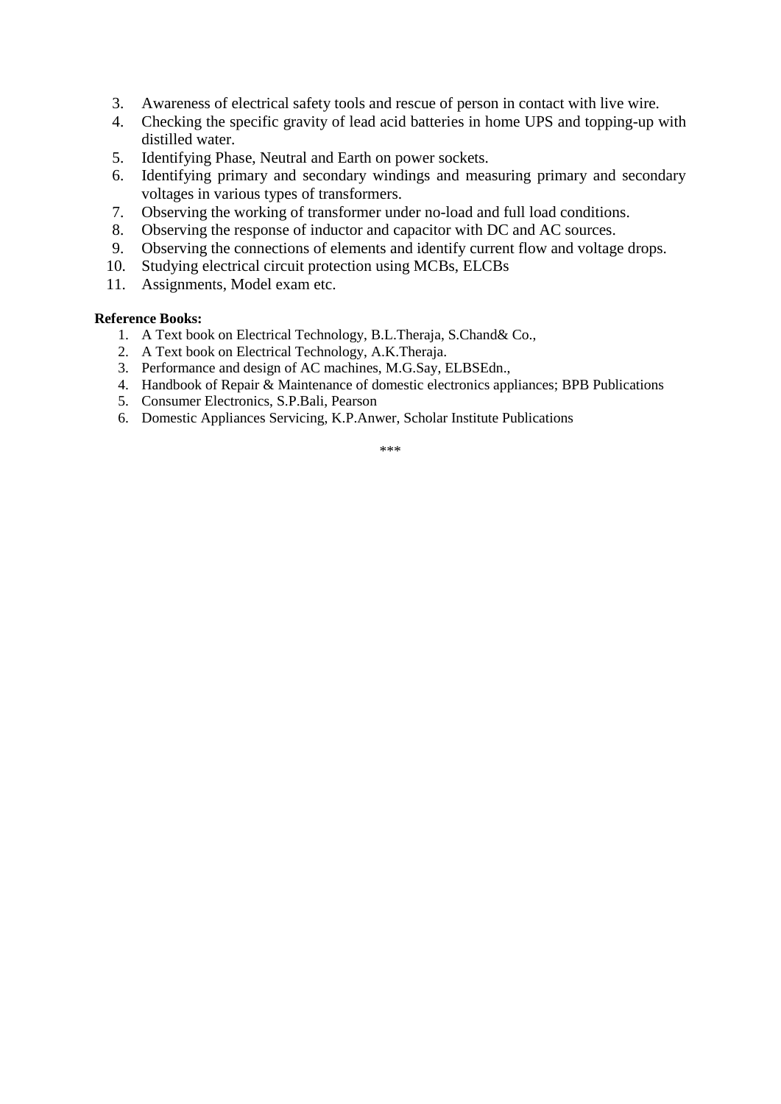- 3. Awareness of electrical safety tools and rescue of person in contact with live wire.
- 4. Checking the specific gravity of lead acid batteries in home UPS and topping-up with distilled water.
- 5. Identifying Phase, Neutral and Earth on power sockets.
- 6. Identifying primary and secondary windings and measuring primary and secondary voltages in various types of transformers.
- 7. Observing the working of transformer under no-load and full load conditions.
- 8. Observing the response of inductor and capacitor with DC and AC sources.
- 9. Observing the connections of elements and identify current flow and voltage drops.
- 10. Studying electrical circuit protection using MCBs, ELCBs
- 11. Assignments, Model exam etc.

#### **Reference Books:**

- 1. A Text book on Electrical Technology, B.L.Theraja, S.Chand& Co.,
- 2. A Text book on Electrical Technology, A.K.Theraja.
- 3. Performance and design of AC machines, M.G.Say, ELBSEdn.,
- 4. Handbook of Repair & Maintenance of domestic electronics appliances; BPB Publications
- 5. Consumer Electronics, S.P.Bali, Pearson
- 6. Domestic Appliances Servicing, K.P.Anwer, Scholar Institute Publications

\*\*\*